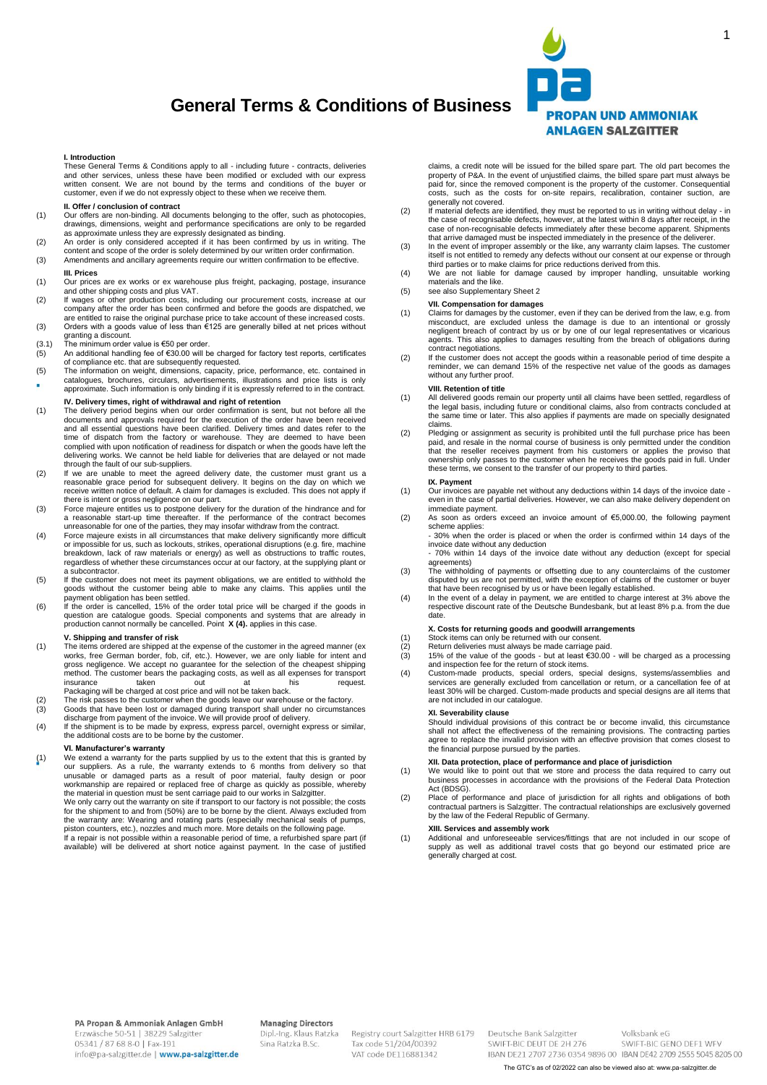# **General Terms & Conditions of Business**



1

#### **I. Introduction**

These General Terms & Conditions apply to all - including future - contracts, deliveries and other services, unless these have been modified or excluded with our express written consent. We are not bound by the terms and conditions of the buyer or customer, even if we do not expressly object to these when we receive them.

## **II. Offer / conclusion of contract**

- (1) Our offers are non-binding. All documents belonging to the offer, such as photocopies, drawings, dimensions, weight and performance specifications are only to be regarded as approximate unless they are expressly design
- 
- content and scope of the order is solely determined by our written order confirmation. (3) Amendments and ancillary agreements require our written confirmation to be effective.

#### **III. Prices**

- (1) Our prices are ex works or ex warehouse plus freight, packaging, postage, insurance
- and other shipping costs and plus VAT.<br>(2) If wages or other production costs, including our procurement costs, increase at our<br>company after the order has been confirmed and before the goods are dispatched, we
- are entitled to raise the original purchase price to take account of these increased costs. (3) Orders with a goods value of less than €125 are generally billed at net prices without granting a discount. (3.1) The minimum order value is €50 per order.
- 
- (5) An additional handling fee of €30.00 will be charged for factory test reports, certificates of compliance etc. that are subsequently requested.
- (5) The information on weight, dimensions, capacity, price, performance, etc. contained in catalogues, brochures, circulars, advertisements, illustrations and price lists is only × approximate. Such information is only binding if it is expressly referred to in the contract.

## **IV. Delivery times, right of withdrawal and right of retention**

- (1) The delivery period begins when our order confirmation is sent, but not before all the documents and approvals required for the execution of the order have been received and all essential questions have been clarified. Delivery times and dates refer to the<br>time of dispatch from the factory or warehouse. They are deemed to have been<br>complied with upon notification of readiness for dispatch delivering works. We cannot be held liable for deliveries that are delayed or not made<br>through the fault of our sub-suppliers
- through the fault of our sub-suppliers.<br>
(2) If we are unable to meet the agreed delivery date, the customer must grant us a<br>
reasonable grace period for subsequent delivery. It begins on the day on which we<br>
receive writt
- (3) Force majeure entitles us to postpone delivery for the duration of the hindrance and for a reasonable start-up time thereafter. If the performance of the contract becomes
- unreasonable for one of the parties, they may insofar withdraw from the contract. (4) Force majeure exists in all circumstances that make delivery significantly more difficult or impossible for us, such as lockouts, strikes, operational disruptions (e.g. fire, machine breakdown, lack of raw materials or energy) as well as obstructions to traffic routes, regardless of whether these circumstances occur at our factory, at the supplying plant or a subcontractor.
- (5) If the customer does not meet its payment obligations, we are entitled to withhold the goods without the customer being able to make any claims. This applies until the payment obligation has been esttled.<br>
If the order
- production cannot normally be cancelled. Point **X (4).** applies in this case.

## **V. Shipping and transfer of risk**

- (1) The items ordered are shipped at the expense of the customer in the agreed manner (ex works, free German border, fob, cif, etc.). However, we are only liable for intent and gross negligence. We accept no guarantee for the selection of the cheapest shipping method. The customer bears the packaging costs, as well as all expenses for transport insurance taken out at his request. Packaging will be charged at cost price and will not be taken back.
- (2) The risk passes to the customer when the goods leave our warehouse or the factory. (3) Goods that have been lost or damaged during transport shall under no circumstances
- discharge from payment of the invoice. We will provide proof of delivery. (4) If the shipment is to be made by express, express parcel, overnight express or similar,
- the additional costs are to be borne by the customer.

## **VI. Manufacturer's warranty**

(1) We extend a warranty for the parts supplied by us to the extent that this is granted by our suppliers. As a rule, the warranty extends to 6 months from delivery so that unusable or damaged parts as a result of poor material, faulty design or poor<br>workmanship are repaired or replaced free of charge as quickly as possible, whereby<br>the material in question must be sent carriage paid to our w

claims, a credit note will be issued for the billed spare part. The old part becomes the property of P&A. In the event of unjustified claims, the billed spare part must always be paid for, since the removed component is the property of the customer. Consequential costs, such as the costs for on-site repairs, recalibration, container suction, are generally not covered.

- (2) If material defects are identified, they must be reported to us in writing without delay in the case of recognisable defects, however, at the latest within 8 days after receipt, in the case of non-recognisable defects immediately after these become apparent. Shipments
- that arrive damaged must be inspected immediately in the presence of the deliverer.<br>(3) In the event of improper assembly or the like, any warranty claim lapses. The customer itself is not entitled to remedy any defects without our consent at our expense or through third parties or to make claims for price reductions derived from this.
- (4) We are not liable for damage caused by improper handling, unsuitable working materials and the like.
- (5) see also Supplementary Sheet 2

## **VII. Compensation for damages**

- (1) Claims for damages by the customer, even if they can be derived from the law, e.g. from<br>misconduct, are excluded unless the damage is due to an intentional or grossly<br>negligent breach of contract by us or by one of our agents. This also applies to damages resulting from the breach of obligations during contract negotiations.
- (2) If the customer does not accept the goods within a reasonable period of time despite a reminder, we can demand 15% of the respective net value of the goods as damages without any further proof.

## **VIII. Retention of title**

- (1) All delivered goods remain our property until all claims have been settled, regardless of the legal basis, including future or conditional claims, also from contracts concluded at the same time or later. This also applies if payments are made on specially designated claims.
- (2) Pledging or assignment as security is prohibited until the full purchase price has been paid, and resale in the normal course of business is only permitted under the condition<br>that the reseller receives payment from his customers or applies the proviso that<br>ownership only passes to the customer when he receiv these terms, we consent to the transfer of our property to third parties.

#### **IX. Payment**

- (1) Our invoices are payable net without any deductions within 14 days of the invoice date even in the case of partial deliveries. However, we can also make delivery dependent on immediate payment.
- (2) As soon as orders exceed an invoice amount of €5,000.00, the following payment scheme applies:
	- 30% when the order is placed or when the order is confirmed within 14 days of the invoice date without any deduction - 70% within 14 days of the invoice date without any deduction (except for special
- agreements) (3) The withholding of payments or offsetting due to any counterclaims of the customer disputed by us are not permitted, with the exception of claims of the customer or buyer that have been recognised by us or have been legally established.
- (4) In the event of a delay in payment, we are entitled to charge interest at 3% above the respective discount rate of the Deutsche Bundesbank, but at least 8% p.a. from the due date.

#### **X. Costs for returning goods and goodwill arrangements**

- 
- (1) Stock items can only be returned with our consent.<br>
(2) Return deliveries must always be made carriage p. (3)  $15\%$  of the value of the goods but at least  $\epsilon$ 30
- (2) Return deliveries must always be made carriage paid. (3) 15% of the value of the goods but at least €30.00 will be charged as a processing and inspection fee for the return of stock items. (4) Custom-made products, special orders, special designs, systems/assemblies and
- services are generally excluded from cancellation or return, or a cancellation fee of at least 30% will be charged. Custom-made products and special designs are all items that are not included in our catalogue.

## **XI. Severability clause**

Should individual provisions of this contract be or become invalid, this circumstance shall not affect the effectiveness of the remaining provisions. The contracting parties agree to replace the invalid provision with an effective provision that comes closest to the financial purpose pursued by the parties.

- **XII. Data protection, place of performance and place of jurisdiction**<br>(1) We would like to point out that we store and process the data required to carry out business processes in accordance with the provisions of the Federal Data Protection Act (BDSG).
- (2) Place of performance and place of jurisdiction for all rights and obligations of both contractual partners is Salzgitter. The contractual relationships are exclusively governed by the law of the Federal Republic of Germany.

## **XIII. Services and assembly work**

(1) Additional and unforeseeable services/fittings that are not included in our scope of supply as well as additional travel costs that go beyond our estimated price are generally charged at cost.

### **Managing Directors**

Dipl .- Ing. Klaus Ratzka Sina Ratzka B.Sc.

Registry court Salzgitter HRB 6179 Tax code 51/204/00392 VAT code DE116881342